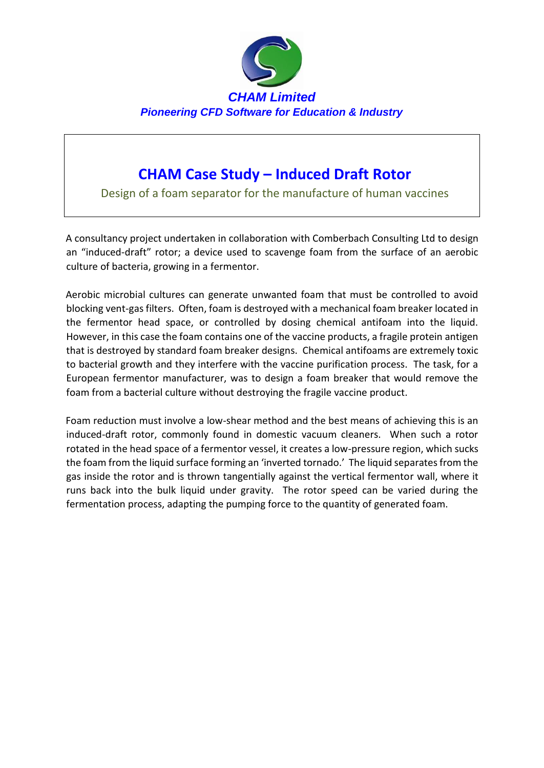

## **CHAM Case Study – Induced Draft Rotor**

Design of a foam separator for the manufacture of human vaccines

A consultancy project undertaken in collaboration with Comberbach Consulting Ltd to design an "induced-draft" rotor; a device used to scavenge foam from the surface of an aerobic culture of bacteria, growing in a fermentor.

Aerobic microbial cultures can generate unwanted foam that must be controlled to avoid blocking vent-gas filters. Often, foam is destroyed with a mechanical foam breaker located in the fermentor head space, or controlled by dosing chemical antifoam into the liquid. However, in this case the foam contains one of the vaccine products, a fragile protein antigen that is destroyed by standard foam breaker designs. Chemical antifoams are extremely toxic to bacterial growth and they interfere with the vaccine purification process. The task, for a European fermentor manufacturer, was to design a foam breaker that would remove the foam from a bacterial culture without destroying the fragile vaccine product.

Foam reduction must involve a low-shear method and the best means of achieving this is an induced-draft rotor, commonly found in domestic vacuum cleaners. When such a rotor rotated in the head space of a fermentor vessel, it creates a low-pressure region, which sucks the foam from the liquid surface forming an 'inverted tornado.' The liquid separates from the gas inside the rotor and is thrown tangentially against the vertical fermentor wall, where it runs back into the bulk liquid under gravity. The rotor speed can be varied during the fermentation process, adapting the pumping force to the quantity of generated foam.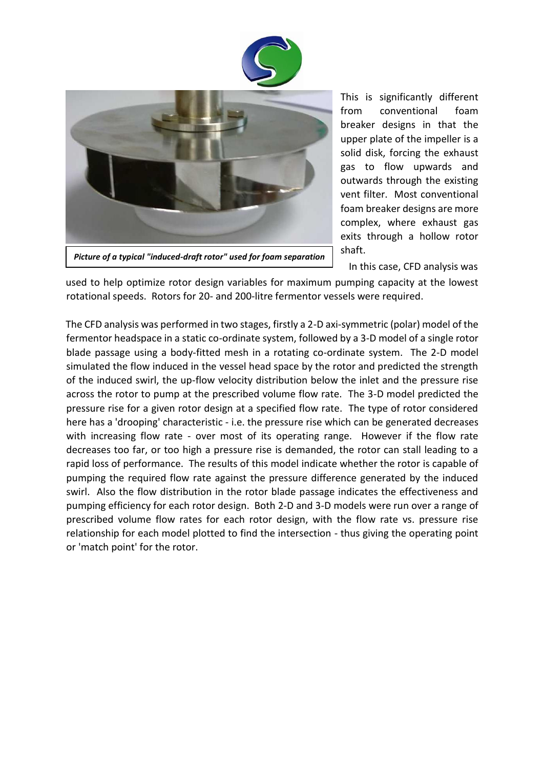



This is significantly different from conventional foam breaker designs in that the upper plate of the impeller is a solid disk, forcing the exhaust gas to flow upwards and outwards through the existing vent filter. Most conventional foam breaker designs are more complex, where exhaust gas exits through a hollow rotor shaft.

In this case, CFD analysis was

used to help optimize rotor design variables for maximum pumping capacity at the lowest rotational speeds. Rotors for 20- and 200-litre fermentor vessels were required.

The CFD analysis was performed in two stages, firstly a 2-D axi-symmetric (polar) model of the fermentor headspace in a static co-ordinate system, followed by a 3-D model of a single rotor blade passage using a body-fitted mesh in a rotating co-ordinate system. The 2-D model simulated the flow induced in the vessel head space by the rotor and predicted the strength of the induced swirl, the up-flow velocity distribution below the inlet and the pressure rise across the rotor to pump at the prescribed volume flow rate. The 3-D model predicted the pressure rise for a given rotor design at a specified flow rate. The type of rotor considered here has a 'drooping' characteristic - i.e. the pressure rise which can be generated decreases with increasing flow rate - over most of its operating range. However if the flow rate decreases too far, or too high a pressure rise is demanded, the rotor can stall leading to a rapid loss of performance. The results of this model indicate whether the rotor is capable of pumping the required flow rate against the pressure difference generated by the induced swirl. Also the flow distribution in the rotor blade passage indicates the effectiveness and pumping efficiency for each rotor design. Both 2-D and 3-D models were run over a range of prescribed volume flow rates for each rotor design, with the flow rate vs. pressure rise relationship for each model plotted to find the intersection - thus giving the operating point or 'match point' for the rotor.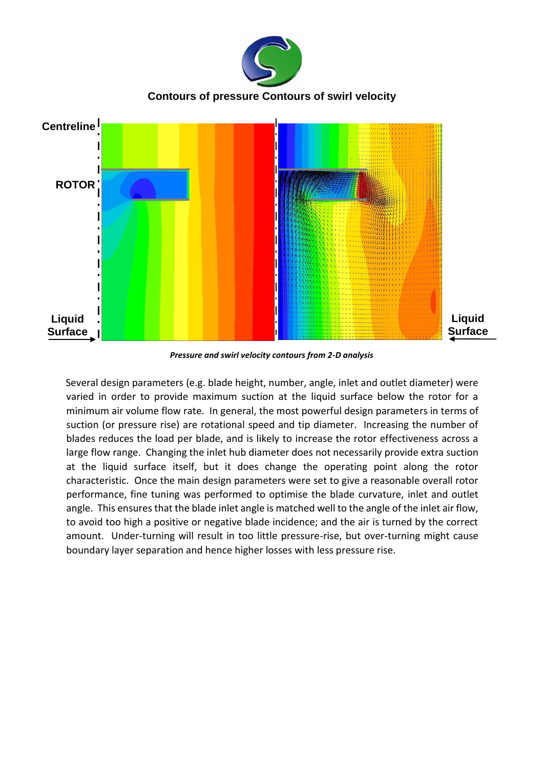

*Pressure and swirl velocity contours from 2-D analysis* 

Several design parameters (e.g. blade height, number, angle, inlet and outlet diameter) were varied in order to provide maximum suction at the liquid surface below the rotor for a minimum air volume flow rate. In general, the most powerful design parameters in terms of suction (or pressure rise) are rotational speed and tip diameter. Increasing the number of blades reduces the load per blade, and is likely to increase the rotor effectiveness across a large flow range. Changing the inlet hub diameter does not necessarily provide extra suction at the liquid surface itself, but it does change the operating point along the rotor characteristic. Once the main design parameters were set to give a reasonable overall rotor performance, fine tuning was performed to optimise the blade curvature, inlet and outlet angle. This ensures that the blade inlet angle is matched well to the angle of the inlet air flow, to avoid too high a positive or negative blade incidence; and the air is turned by the correct amount. Under-turning will result in too little pressure-rise, but over-turning might cause boundary layer separation and hence higher losses with less pressure rise.